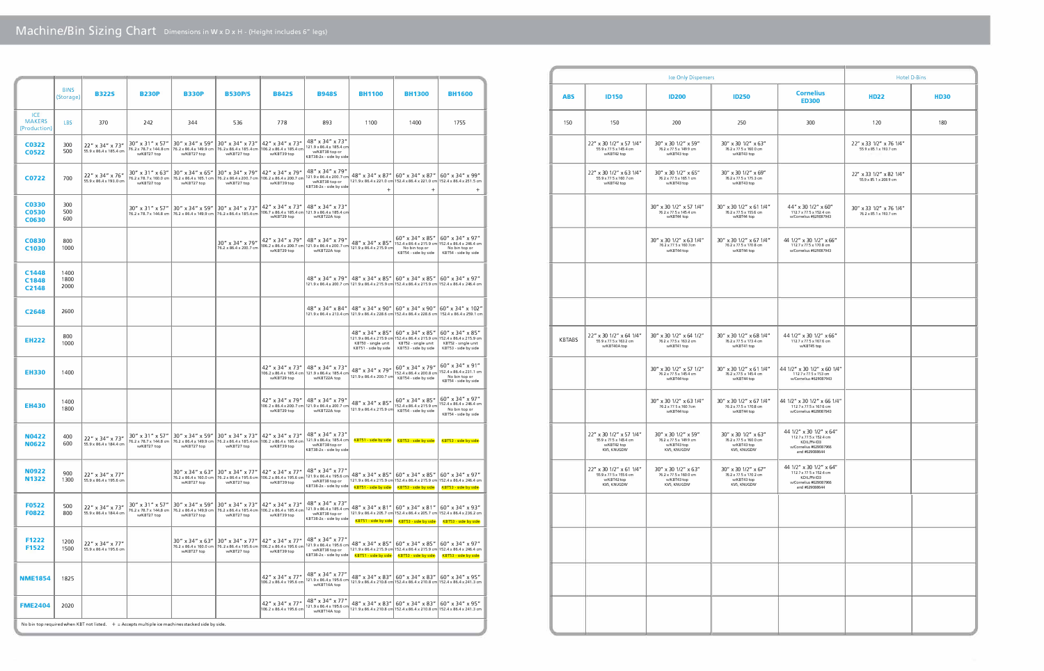|                                             | <b>BINS</b><br>(Storage) | <b>B322S</b>                                                                                       | <b>B230P</b>                                                | <b>B330P</b>                                                | <b>B530P/S</b>                                                                     | <b>B842S</b>                                                                      | <b>B948S</b>                                                                                        | <b>BH1100</b>                                                  | <b>BH1300</b>                                                                                                     | <b>BH1600</b>                                                                                                                |
|---------------------------------------------|--------------------------|----------------------------------------------------------------------------------------------------|-------------------------------------------------------------|-------------------------------------------------------------|------------------------------------------------------------------------------------|-----------------------------------------------------------------------------------|-----------------------------------------------------------------------------------------------------|----------------------------------------------------------------|-------------------------------------------------------------------------------------------------------------------|------------------------------------------------------------------------------------------------------------------------------|
| <b>ICE</b><br><b>MAKERS</b><br>(Production) | <b>LBS</b>               | 370                                                                                                | 242                                                         | 344                                                         | 536                                                                                | 778                                                                               | 893                                                                                                 | 1100                                                           | 1400                                                                                                              | 1755                                                                                                                         |
| C0322<br><b>C0522</b>                       | 300<br>500               | 22" x 34" x 73"<br>55.9 x 86.4 x 185.4 cm                                                          | 30" x 31" x 57"<br>76.2 x 78.7 x 144.8 cm<br>w/KBT27 top    | 30" x 34" x 59"<br>76.2 x 86.4 x 149.9 cm<br>w/KBT27 top    | $30'' \times 34'' \times 73''$<br>76.2 x 86.4 x 185.4 cm<br>w/KBT27 top            | $42''$ x 34" x 73"<br>106.2 x 86.4 x 185.4 cm<br>w/KBT39 top                      | 48" x 34" x 73"<br>121.9 x 86.4 x 185.4 cm<br>w/KBT38 top or<br>KBT38-2x - side by side             |                                                                |                                                                                                                   |                                                                                                                              |
| C0722                                       | 700                      | 22" x 34" x 76"<br>55.9 x 86.4 x 193.0 cm                                                          | $30''$ x 31" x 63"<br>76.2 x 78.7 x 160.0 cm<br>w/KBT27 top | $30''$ x 34" x 65"<br>76.2 x 86.4 x 165.1 cm<br>w/KBT27 top | $30''$ x 34" x 79"<br>76.2 x 86.4 x 200.7 cm<br>w/KBT27 top                        | 42" x 34" x 79"<br>106.2 x 86.4 x 200.7 cm<br>w/KBT39 top                         | 48" x 34" x 79"<br>121.9 x 86.4 x 200.7 cr<br>w/KBT38 top or<br>KBT38-2x - side by side             | 48" x 34" x 87"<br>$^{+}$                                      | 60" x 34" x 87"<br>$\! + \!\!\!\!$                                                                                | 60" x 34" x 99"<br>121.9 x 86.4 x 221.0 cm 152.4 x 86.4 x 221.0 cm 152.4 x 86.4 x 251.5 cm<br>$^{+}$                         |
| C0330<br>C0530<br><b>C0630</b>              | 300<br>500<br>600        |                                                                                                    | $30'' \times 31'' \times 57''$<br>76.2 x 78.7 x 144.8 cm    | 30" x 34" x 59"<br>76.2 x 86.4 x 149.9 cm                   | 30" x 34" x 73"<br>76.2 x 86.4 x 185.4 cm                                          | $42''$ x 34" x 73"<br>w/KBT29 top                                                 | $48'' \times 34'' \times 73''$<br>106.7 x 86.4 x 185.4 cm   121.9 x 86.4 x 185.4 cm<br>w/KBT22A top |                                                                |                                                                                                                   |                                                                                                                              |
| C0830<br>C <sub>1030</sub>                  | 800<br>1000              |                                                                                                    |                                                             |                                                             | 30" x 34" x 79"<br>76.2 x 86.4 x 200.7 cm                                          | 42" x 34" x 79"<br>106.2 x 86.4 x 200.7 cm 121.9 x 86.4 x 200.7 cr<br>w/KBT29 top | 48" x 34" x 79"<br>w/KBT22A top                                                                     | 48" x 34" x 85"<br>121.9 x 86.4 x 215.9 cm                     | 60" x 34" x 85"<br>No bin top or<br>KBT54 - side by side                                                          | 60" x 34" x 97"<br>152.4 x 86.4 x 215.9 cm 152.4 x 86.4 x 246.4 cm<br>No bin top or<br>KBT54 - side by side                  |
| C1448<br>C1848<br>C <sub>2148</sub>         | 1400<br>1800<br>2000     |                                                                                                    |                                                             |                                                             |                                                                                    |                                                                                   | 48" x 34" x 79"                                                                                     | 48" x 34" x 85"                                                | 60" x 34" x 85"                                                                                                   | $60''$ x 34" x 97"<br>121.9 x 86.4 x 200.7 cm 121.9 x 86.4 x 215.9 cm 152.4 x 86.4 x 215.9 cm 152.4 x 86.4 x 246.4 cm        |
| C <sub>2648</sub>                           | 2600                     |                                                                                                    |                                                             |                                                             |                                                                                    |                                                                                   | $48'' \times 34'' \times 84''$                                                                      | 48" x 34" x 90"                                                | 60" x 34" x 90"                                                                                                   | 160" x 34" x 102"<br>121.9 x 86.4 x 213.4 cm 121.9 x 86.4 x 228.6 cm 152.4 x 86.4 x 228.6 cm 152.4 x 86.4 x 259.1 cm         |
| <b>EH222</b>                                | 800<br>1000              |                                                                                                    |                                                             |                                                             |                                                                                    |                                                                                   |                                                                                                     | 48" x 34" x 85"<br>KBT50 - single unit<br>KBT51 - side by side | 60" x 34" x 85"<br>121.9 x 86.4 x 215.9 cm 152.4 x 86.4 x 215.9 cm<br>KBT52 - single unit<br>KBT53 - side by side | 60" x 34" x 85"<br>152.4 x 86.4 x 215.9 cm<br>KBT52 - single unit<br>KBT53 - side by side                                    |
| <b>EH330</b>                                | 1400                     |                                                                                                    |                                                             |                                                             |                                                                                    | 42" x 34" x 73"<br>106.2 x 86.4 x 185.4 cm<br>w/KBT29 top                         | 48" x 34" x 73"<br>121.9 x 86.4 x 185.4 cn<br>w/KBT22A top                                          | $48'' \times 34'' \times 79''$<br>121.9 x 86.4 x 200.7 cm      | 60" x 34" x 79"<br>152.4 x 86.4 x 200.8 cm<br>KBT54 - side by side                                                | 60" x 34" x 91"<br>152.4 x 86.4 x 231.1 cm<br>No bin top or<br>KBT54 - side by side                                          |
| <b>EH430</b>                                | 1400<br>1800             |                                                                                                    |                                                             |                                                             |                                                                                    | 42" x 34" x 79"<br>106.2 x 86.4 x 200.7 cm 121.9 x 86.4 x 200.7 cn<br>w/KBT29 top | 48" x 34" x 79"<br>w/KBT22A top                                                                     | 48" x 34" x 85"<br>121.9 x 86.4 x 215.9 cm                     | 60" x 34" x 85"<br>152.4 x 86.4 x 215.9 cm<br>KBT54 - side by side                                                | 60" x 34" x 97"<br>152.4 x 86.4 x 246.4 cm<br>No bin top or<br>KBT54 - side by side                                          |
| <b>N0422</b><br><b>N0622</b>                | 400<br>600               | 22" x 34" x 73"<br>55.9 x 86.4 x 184.4 cm                                                          | $30''$ x 31" x 57"<br>76.2 x 78.7 x 144.8 cm<br>w/KBT27 top | $30''$ x 34" x 59"<br>76.2 x 86.4 x 149.9 cm<br>w/KBT27 top | 30" x 34" x 73"<br>76.2 x 86.4 x 185.4 cm<br>w/KBT27 top                           | 42" x 34" x 73"<br>106.2 x 86.4 x 185.4 cm<br>w/KBT39 top                         | 48" x 34" x 73"<br>121.9 x 86.4 x 185.4 cm<br>w/KBT38 top or<br>KBT38-2x - side by side             | <b>KBT51 - side by side</b>                                    | KBT53 - side by side                                                                                              | KBT53 - side by side                                                                                                         |
| <b>N0922</b><br><b>N1322</b>                | 900<br>1300              | $22'' \times 34'' \times 77''$<br>55.9 x 86.4 x 195.6 cm                                           |                                                             | 30" x 34" x 63"<br>76.2 x 86.4 x 160.0 cm<br>w/KBT27 top    | $30''$ x $34''$ x $77''$<br>76.2 x 86.4 x 195.6 cm<br>w/KBT27 top                  | 42" x 34" x 77"<br>106.2 x 86.4 x 195.6 cm<br>w/KBT39 top                         | 48" x 34" x 77"<br>121.9 x 86.4 x 195.6 cn<br>w/KBT38 top or<br>KBT38-2x - side by side             | 48" x 34" x 85"<br>KBT51 - side by side                        | $60'' \times 34'' \times 85''$<br>121.9 x 86.4 x 215.9 cm 152.4 x 86.4 x 215.9 cm<br>KBT53 - side by side         | $60''$ x 34" x 97"<br>152.4 x 86.4 x 246.4 cm<br>KBT53 - side by side                                                        |
| <b>F0522</b><br><b>F0822</b>                | 500<br>800               | 22" x 34" x 73"<br>55.9 x 86.4 x 184.4 cm                                                          | 30" x 31" x 57"<br>76.2 x 78.7 x 144.8 cm<br>w/KBT27 top    | 30" x 34" x 59"<br>76.2 x 86.4 x 149.9 cm<br>w/KBT27 top    | 30" x 34" x 73"<br>76.2 x 86.4 x 185.4 cm<br>w/KBT27 top                           | 42" x 34" x 73"<br>106.2 x 86.4 x 185.4 cm<br>w/KBT39 top                         | 48" x 34" x 73"<br>121.9 x 86.4 x 185.4 cr<br>w/KBT38 top or<br>KBT38-2x - side by side             | 48" x 34" x 81"<br><b>KBT51 - side by side</b>                 | 60" x 34" x 81"<br><b>KBT53 - side by side</b>                                                                    | $60''$ x 34" x 93"<br>121.9 x 86.4 x 205.7 cm 152.4 x 86.4 x 205.7 cm 152.4 x 86.4 x 236.2 cm<br><b>KBT53 - side by side</b> |
| F1222<br>F1522                              | 1200<br>1500             | $22'' \times 34'' \times 77''$<br>55.9 x 86.4 x 195.6 cm                                           |                                                             | $30''$ x 34" x 63"<br>w/KBT27 top                           | $30''$ x 34" x 77"<br>76.2 x 86.4 x 160.0 cm 76.2 x 86.4 x 195.6 cm<br>w/KBT27 top | 42" x 34" x 77"<br>106.2 x 86.4 x 195.6 cm<br>w/KBT39 top                         | 48" x 34" x 77"<br>121.9 x 86.4 x 195.6 cm<br>w/KBT38 top or<br>KBT38-2x - side by side             | 48" x 34" x 85"<br>KBT51 - side by side                        | $60'' \times 34'' \times 85''$<br>121.9 x 86.4 x 215.9 cm 152.4 x 86.4 x 215.9 cm<br><b>KBT53 - side by side</b>  | $60''$ x 34" x 97"<br>152.4 x 86.4 x 246.4 cm<br>KBT53 - side by side                                                        |
| <b>NME1854</b>                              | 1825                     |                                                                                                    |                                                             |                                                             |                                                                                    | 42" x 34" x 77"<br>106.2 x 86.4 x 195.6 cm                                        | 48" x 34" x 77"<br>121.9 x 86.4 x 195.6 cn<br>w/KBT14A top                                          | 48" x 34" x 83"                                                | 60" x 34" x 83"                                                                                                   | 60" x 34" x 95"<br>121.9 x 86.4 x 210.8 cm 152.4 x 86.4 x 210.8 cm 152.4 x 86.4 x 241.3 cm                                   |
| <b>FME2404</b>                              | 2020                     |                                                                                                    |                                                             |                                                             |                                                                                    | 42" x 34" x 77"<br>106.2 x 86.4 x 195.6 cm                                        | 48″ x 34″ x 77″<br>121.9 x 86.4 x 195.6 cn<br>w/KBT14A top                                          | 48" x 34" x 83"                                                | 60" x 34" x 83"                                                                                                   | 60" x 34" x 95"<br>121.9 x 86.4 x 210.8 cm 152.4 x 86.4 x 210.8 cm 152.4 x 86.4 x 241.3 cm                                   |
|                                             |                          | No bin top required when KBT not listed. $+$ = Accepts multiple ice machines stacked side by side. |                                                             |                                                             |                                                                                    |                                                                                   |                                                                                                     |                                                                |                                                                                                                   |                                                                                                                              |

|                                                                                 |               |                                                                                  | Ice Only Dispensers                                                          |                                                                              |                                                                                                              | <b>Hotel D-Bins</b>                               |             |
|---------------------------------------------------------------------------------|---------------|----------------------------------------------------------------------------------|------------------------------------------------------------------------------|------------------------------------------------------------------------------|--------------------------------------------------------------------------------------------------------------|---------------------------------------------------|-------------|
| <b>BH1600</b>                                                                   | <b>ABS</b>    | <b>ID150</b>                                                                     | <b>ID200</b>                                                                 | <b>ID250</b>                                                                 | <b>Cornelius</b><br><b>ED300</b>                                                                             | <b>HD22</b>                                       | <b>HD30</b> |
| 1755                                                                            | 150           | 150                                                                              | 200                                                                          | 250                                                                          | 300                                                                                                          | 120                                               | 180         |
|                                                                                 |               | 22" x 30 1/2" x 57 1/4"<br>55.9 x 77.5 x 145.4 cm<br>w/KBT42 top                 | 30" x 30 1/2" x 59"<br>76.2 x 77.5 x 149.9 cm<br>w/KBT43 top                 | 30" x 30 1/2" x 63"<br>76.2 x 77.5 x 160.0 cm<br>w/KBT43 top                 |                                                                                                              | 22" x 33 1/2" x 76 1/4"<br>55.9 x 85.1 x 193.7 cm |             |
| " x 34" x 99"<br>1 x 86.4 x 251.5 cm<br>$^{+}$                                  |               | 22" x 30 1/2" x 63 1/4"<br>55.9 x 77.5 x 160.7 cm<br>w/KBT42 top                 | 30" x 30 1/2" x 65"<br>76.2 x 77.5 x 165.1 cm<br>w/KBT43 top                 | 30" x 30 1/2" x 69"<br>76.2 x 77.5 x 175.3 cm<br>w/KBT43 top                 |                                                                                                              | 22" x 33 1/2" x 82 1/4"<br>55.9 x 85.1 x 208.9 cm |             |
|                                                                                 |               |                                                                                  | 30" x 30 1/2" x 57 1/4"<br>76.2 x 77.5 x 145.4 cm<br>w/KBT44 top             | 30" x 30 1/2" x 61 1/4"<br>76.2 x 77.5 x 155.6 cm<br>w/KBT44 top             | 44" x 30 1/2" x 60"<br>112.7 x 77.5 x 152.4 cm<br>w/Cornelius #629087943                                     | 30" x 33 1/2" x 76 1/4"<br>76.2 x 85.1 x 193.7 cm |             |
| ' x 34" x 97"<br>1 x 86.4 x 246.4 cm<br>No bin top or<br>T54 - side by side     |               |                                                                                  | 30" x 30 1/2" x 63 1/4"<br>76.2 x 77.5 x 160.7cm<br>w/KBT44 top              | 30" x 30 1/2" x 67 1/4"<br>76.2 x 77.5 x 170.8 cm<br>w/KBT44 top             | 44 1/2" x 30 1/2" x 66"<br>112.7 x 77.5 x 170.8 cm<br>w/Cornelius #629087943                                 |                                                   |             |
| " x 34" x 97"<br>1 x 86.4 x 246.4 cm                                            |               |                                                                                  |                                                                              |                                                                              |                                                                                                              |                                                   |             |
| x 34" x 102"<br>4 x 86.4 x 259.1 cm                                             |               |                                                                                  |                                                                              |                                                                              |                                                                                                              |                                                   |             |
| " x 34" x 85"<br>1 x 86.4 x 215.9 cm<br>T52 - single unit<br>T53 - side by side | <b>KBTABS</b> | 22" x 30 1/2" x 64 1/4"<br>55.9 x 77.5 x 163.2 cm<br>w/KBT40A top                | 30" x 30 1/2" x 64 1/2"<br>76.2 x 77.5 x 163.2 cm<br>w/KBT41 top             | 30" x 30 1/2" x 68 1/4"<br>76.2 x 77.5 x 173.4 cm<br>w/KBT41 top             | 44 1/2" x 30 1/2" x 66"<br>112.7 x 77.5 x 167.6 cm<br>w/KBT45 top                                            |                                                   |             |
| " x 34" x 91"<br>4 x 86.4 x 231.1 cm<br>No bin top or<br>T54 - side by side     |               |                                                                                  | 30" x 30 1/2" x 57 1/2"<br>76.2 x 77.5 x 145.4 cm<br>w/KBT44 top             | 30" x 30 1/2" x 61 1/4"<br>76.2 x 77.5 x 145.4 cm<br>w/KBT44 top             | 44 1/2" x 30 1/2" x 60 1/4"<br>112.7 x 77.5 x 153 cm<br>w/Cornelius #629087943                               |                                                   |             |
| ' x 34" x 97"<br>1 x 86.4 x 246.4 cm<br>No bin top or<br>T54 - side by side     |               |                                                                                  | 30" x 30 1/2" x 63 1/4"<br>76.2 x 77.5 x 160.7cm<br>w/KBT44 top              | 30" x 30 1/2" x 67 1/4"<br>76.2 x 77.5 x 170.8 cm<br>w/KBT44 top             | 44 1/2" x 30 1/2" x 66 1/4"<br>112.7 x 77.5 x 167.6 cm<br>w/Cornelius #629087943                             |                                                   |             |
| F53 - side by side                                                              |               | 22" x 30 1/2" x 57 1/4"<br>55.9 x 77.5 x 145.4 cm<br>w/KBT42 top<br>KVS, KNUGDIV | 30" x 30 1/2" x 59"<br>76.2 x 77.5 x 149.9 cm<br>w/KBT43 top<br>KVS, KNUGDIV | 30" x 30 1/2" x 63"<br>76.2 x 77.5 x 160.0 cm<br>w/KBT43 top<br>KVS, KNUGDIV | 44 1/2" x 30 1/2" x 64"<br>112.7 x 77.5 x 152.4 cm<br>KDILPN-ID3<br>w/Cornelius #629087966<br>and #629088644 |                                                   |             |
| $'$ x 34" x 97"<br>1 x 86.4 x 246.4 cm<br>F53 - side by side                    |               | 22" x 30 1/2" x 61 1/4"<br>55.9 x 77.5 x 155.6 cm<br>w/KBT42 top<br>KVS, KNUGDIV | 30" x 30 1/2" x 63"<br>76.2 x 77.5 x 160.0 cm<br>w/KBT43 top<br>KVS, KNUGDIV | 30" x 30 1/2" x 67"<br>76.2 x 77.5 x 170.2 cm<br>w/KBT43 top<br>KVS, KNUGDIV | 44 1/2" x 30 1/2" x 64"<br>112.7 x 77.5 x 152.4 cm<br>KDILPN-ID3<br>w/Cornelius #629087966<br>and #629088644 |                                                   |             |
| $'$ x 34" x 93"<br>1 x 86.4 x 236.2 cm<br>T53 - side by side                    |               |                                                                                  |                                                                              |                                                                              |                                                                                                              |                                                   |             |
| $'$ x 34" x 97"<br>1 x 86.4 x 246.4 cm<br>T53 - side by side                    |               |                                                                                  |                                                                              |                                                                              |                                                                                                              |                                                   |             |
| " x 34" x 95"<br>1 x 86.4 x 241.3 cm                                            |               |                                                                                  |                                                                              |                                                                              |                                                                                                              |                                                   |             |
| " x 34" x 95"<br>1 x 86.4 x 241.3 cm                                            |               |                                                                                  |                                                                              |                                                                              |                                                                                                              |                                                   |             |
|                                                                                 |               |                                                                                  |                                                                              |                                                                              |                                                                                                              |                                                   |             |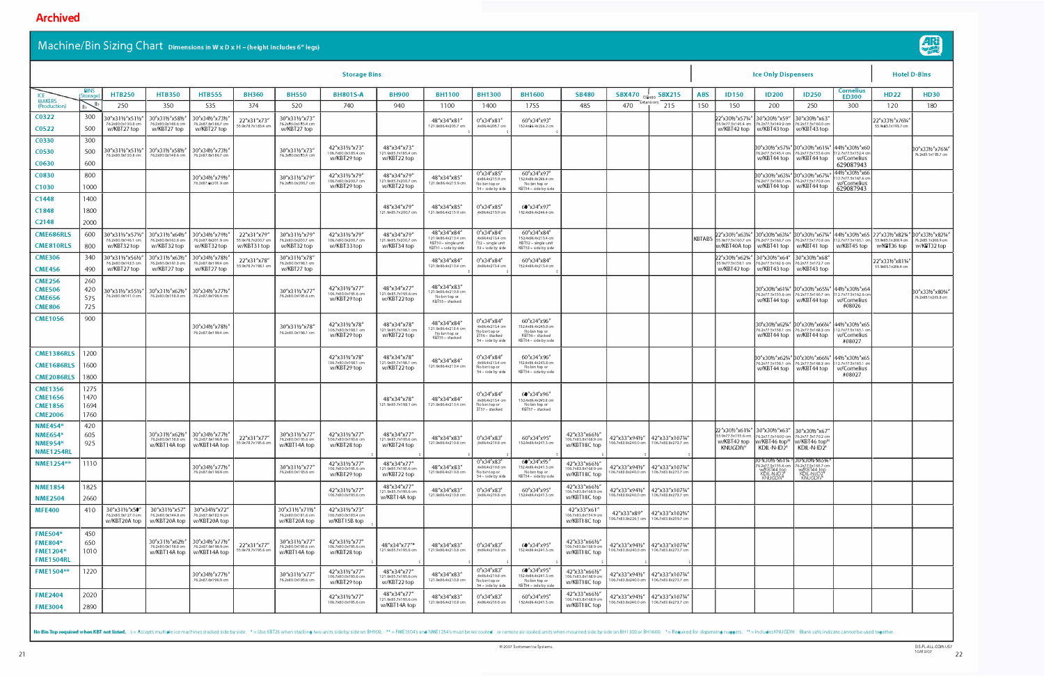| <b>Storage Bins</b>                  |                 |                                                        |                                                                         |                                                                                           |                                                 |                                                      |                                                       |                                                   |                                                                                  |                                                                            |                                                                                   |                                                       | <b>Ice Only Dispensers</b>            |                                                                              |               |                                                   |                                                                                                                                | <b>Hotel D-Bins</b>                                                                                                        |                                                                                                                                                                                                                                  |                                        |                                                        |
|--------------------------------------|-----------------|--------------------------------------------------------|-------------------------------------------------------------------------|-------------------------------------------------------------------------------------------|-------------------------------------------------|------------------------------------------------------|-------------------------------------------------------|---------------------------------------------------|----------------------------------------------------------------------------------|----------------------------------------------------------------------------|-----------------------------------------------------------------------------------|-------------------------------------------------------|---------------------------------------|------------------------------------------------------------------------------|---------------|---------------------------------------------------|--------------------------------------------------------------------------------------------------------------------------------|----------------------------------------------------------------------------------------------------------------------------|----------------------------------------------------------------------------------------------------------------------------------------------------------------------------------------------------------------------------------|----------------------------------------|--------------------------------------------------------|
| ICE <sup>1</sup>                     | BINS<br>(Storag | <b>HTB250</b>                                          | <b>HTB350</b>                                                           | <b>HTB555</b>                                                                             | <b>BH360</b>                                    | <b>BH550</b>                                         | <b>BH801S-A</b>                                       | <b>BH900</b>                                      | <b>BH1100</b>                                                                    | <b>BH1300</b>                                                              | <b>BH1600</b>                                                                     | <b>SB480</b>                                          | <b>SBX470</b>                         | $\frac{1}{(SR480)}$ SBX215                                                   | <b>ABS</b>    | <b>ID150</b>                                      | <b>ID200</b>                                                                                                                   | <b>ID250</b>                                                                                                               | <b>Cornelius</b><br><b>ED300</b>                                                                                                                                                                                                 | <b>HD22</b>                            | <b>HD30</b>                                            |
| <b>MAKERS</b><br>(Production)        |                 | 250                                                    | 350                                                                     | 535                                                                                       | 374                                             | 520                                                  | 740                                                   | 940                                               | 1100                                                                             | 1400                                                                       | 1755                                                                              | 485                                                   | 470                                   | Extension)<br>215                                                            | 150           | 150                                               | 200                                                                                                                            | 250                                                                                                                        | 300                                                                                                                                                                                                                              | 120                                    | 180                                                    |
| C0322<br>C0522                       | 300<br>500      | 30"x31½"x51½<br>76.2x80.0x130.8 cm<br>w/KBT27 top      | 30"x311/2"x581/2"<br>76.2x80.0x148.6 cm<br>w/KBT27 top                  | 30"x341/2"x731/2<br>76.2x87.6x186.7 cm<br>w/KBT27 top                                     | 22"x31"x73'<br>55.9x78.7x185.4 cr               | 30"x311/2"x73"<br>76.2x80.0x1 85.4 cm<br>w/KBT27 top |                                                       |                                                   | 48"x34"x81'<br>121.9x86.4x205.7 cm                                               | $0''$ x34"x81'<br>4x86.4x205.7 cm                                          | 60"x34"x93"<br>152.4x86.4x236.2 cm                                                |                                                       |                                       |                                                                              |               | 22"x30½"x57¼<br>55.9x77.5x145.4 am<br>w/KBT42 top | 30"x301/2"x59" 30"x301/2"x63"<br>W/KBT43 top   w/KBT43 top                                                                     | 76.2x77.5x149.9 cm 76.2x77.5x160.0 cm                                                                                      |                                                                                                                                                                                                                                  | 22"x33½"x76¼<br>55.9x85.1x193.7 cm     |                                                        |
| C0330                                | 300             |                                                        |                                                                         |                                                                                           |                                                 |                                                      |                                                       |                                                   |                                                                                  |                                                                            |                                                                                   |                                                       |                                       |                                                                              |               |                                                   |                                                                                                                                |                                                                                                                            |                                                                                                                                                                                                                                  |                                        |                                                        |
| C0530                                | 500             | 30"x31½"x51½"<br>76.2x80.0x130.8 cm                    | 30"x311/2"x581/2"<br>76.2x80.0x148.6 cm                                 | $30''$ x341/2 $''$ x731/2<br>76.2x87.6x186.7 cm                                           |                                                 | 30"x311/2"x73'<br>76,2x80.0x185.4 cm                 | 42"x311/2"x73"<br>106.7x80.0x185.4 cm                 | 48"x34"x73"<br>121.9x85.7x185.4 cm                |                                                                                  |                                                                            |                                                                                   |                                                       |                                       |                                                                              |               |                                                   |                                                                                                                                | 30"x30½"x57¼" 30"x30½"x61¼"   44½"x30½"x60                                                                                 | 76.2x77.5x145.4 cm 76.2x77.5x155.6 cm 112.7x77.5x152.4 cm                                                                                                                                                                        |                                        | 30"x331/2"x761/4"<br>76.2x85.1x193.7 cm                |
| C <sub>0630</sub>                    | 600             |                                                        |                                                                         |                                                                                           |                                                 |                                                      | w/KBT29 top                                           | w/KBT22 top                                       |                                                                                  |                                                                            |                                                                                   |                                                       |                                       |                                                                              |               |                                                   |                                                                                                                                | w/KBT44 top   w/KBT44 top                                                                                                  | w/Cornelius<br>629087943                                                                                                                                                                                                         |                                        |                                                        |
| C0830                                | 800             |                                                        |                                                                         | 30"x341/2"x791/2                                                                          |                                                 | 30"x311/2"x79"                                       | 42"x311/2"x79"                                        | 48"x34"x79"<br>121.9x85.7x200.7 cm                | 48"x34"x85"                                                                      | 0''x34''x85''<br>4x86.4x215.9 cm                                           | 60"x34"x97"<br>152.4x86.4x246.4 cm                                                |                                                       |                                       |                                                                              |               |                                                   | 30"x30½"x63¼" 30"x30½"x67¼                                                                                                     |                                                                                                                            | 44½″x30½″x66<br>12.7x77.5x167.6 cm                                                                                                                                                                                               |                                        |                                                        |
| C <sub>1030</sub>                    | 1000            |                                                        |                                                                         | 76.2x87.6x201.9 cm                                                                        |                                                 | 76,2x80.0x200.7 cm                                   | 106.7x80.0x200.7 cm<br>w/KBT29 top                    | w/KBT22 top                                       | 121.9x86.4x215.9 cm                                                              | No bintop or<br>54 - side by side                                          | No bin top or<br>KBT54 - side by side                                             |                                                       |                                       |                                                                              |               |                                                   |                                                                                                                                | 76.2x77.5x160.7 cm 76.2x77.5x170.8 cm<br>w/KBT44 top   w/KBT44 top                                                         | w/Cornelius<br>629087943                                                                                                                                                                                                         |                                        |                                                        |
| C1448                                | 1400            |                                                        |                                                                         |                                                                                           |                                                 |                                                      |                                                       |                                                   |                                                                                  |                                                                            |                                                                                   |                                                       |                                       |                                                                              |               |                                                   |                                                                                                                                |                                                                                                                            |                                                                                                                                                                                                                                  |                                        |                                                        |
| C <sub>1</sub> 848                   | 1800            |                                                        |                                                                         |                                                                                           |                                                 |                                                      |                                                       | 48"x34"x79"<br>121.9x85.7x200.7 cm                | 48"x34"x85"<br>121.9x86.4x215.9 cm                                               | 0''x34''x85''<br>4x86.4x215.9 cm                                           | 60''x34''x97''<br>152.4x86.4x246.4 cm                                             |                                                       |                                       |                                                                              |               |                                                   |                                                                                                                                |                                                                                                                            |                                                                                                                                                                                                                                  |                                        |                                                        |
| C <sub>2148</sub>                    | 2000            |                                                        |                                                                         |                                                                                           |                                                 |                                                      |                                                       |                                                   |                                                                                  |                                                                            |                                                                                   |                                                       |                                       |                                                                              |               |                                                   |                                                                                                                                |                                                                                                                            |                                                                                                                                                                                                                                  |                                        |                                                        |
| <b>CME686RLS</b><br><b>CME810RLS</b> | 600<br>800      | 30"x311/2"x571/2"<br>76.2x80.0x146.1 cm<br>w/KBT32 top | 30"x311/2"x641/2" 30"x341/2"x791/2"<br>76.2x80.0x163.8 cm<br>w/KBT32top | 76.2x87.6x201.9 cm<br>w/KBT32top                                                          | 22"x31"x79'<br>55.9x78.7x200.7 cm<br>w/KBT31top | 30"x311/2"x79"<br>76.2x80.0x200.7 cm<br>w/KBT32 top  | 42"x311/2"x79"<br>106.7x80.0x200.7 cm<br>w/KBT33top   | 48"x34"x79"<br>121.9x85.7x200.7 cm<br>w/KBT34 top | 48"x34"x84"<br>21.9x86.4x213.4 cm<br>KBT50 - single unit<br>KBT51 - side by side | 0''x34''x84''<br>4x86.4x213.4 cm<br>F52 – single unit<br>53 - side by side | 60"x34"x84"<br>152.4x86.4x213.4 cm<br>KBT52 - single unit<br>KBT53 - side by side |                                                       |                                       |                                                                              | <b>KBTABS</b> |                                                   |                                                                                                                                |                                                                                                                            | 2"x30½"x63¼" 30"x30½"x63¼" 30"x30½"x67¼" 44½"x30½"x65 22"x33½"x82¼"<br>55.9x77.5x160.7 cm 76.2x77.5x160.7 cm 76.2x77.5x170.8 cm 112.7x77.5x165.1 cm 55.9x85.1x208.9 cm<br>w/KBT40A top   w/KBT41 top   w/KBT41 top   w/KBT45 top | w/KBT36 top                            | 30"x331/2"x821/4"<br>76.2x85.1x208.9 cm<br>w/KBT32 top |
| <b>CME306</b>                        | 340             | 30"x311/2"x561/2"                                      | 30"x311⁄2"x631⁄2"                                                       | 30"x341/2"x781/2                                                                          | 22"x31"x78"                                     | 30"x311/2"x78'                                       |                                                       |                                                   | 48"x34"x84"                                                                      | $0''$ x34"x84"                                                             | 60"x34"x84"                                                                       |                                                       |                                       |                                                                              |               | 22″x30½″x62¼″                                     | 30"x301/2"x64" 30"x301/2"x68"                                                                                                  |                                                                                                                            |                                                                                                                                                                                                                                  |                                        |                                                        |
| <b>CME456</b>                        | 490             | 76.2x80.0x143.5 cm<br>w/KBT27 top                      | 76.2x80.0x161.3 cm<br>w/KBT27 top                                       | 76.2x87.6x199.4 cm<br>w/KBT27 top                                                         | 55.9x78.7x198.1 cn                              | 76.2x80.0x198.1 cm<br>w/KBT27 top                    |                                                       |                                                   | 121.9x86.4x213.4 cm                                                              | 4x86.4x213.4 cm                                                            | 152.4x86.4x213.4 cm                                                               |                                                       |                                       |                                                                              |               |                                                   | 55.9x77.5x158.1 cm 76.2x77.5x162.6 cm 76.2x77.5x172.7 cm<br>w/KBT42 top   w/KBT43 top   w/KBT43 top                            |                                                                                                                            |                                                                                                                                                                                                                                  | 22"x331⁄2"x811⁄4<br>55.9x85.1x206.4 cm |                                                        |
| <b>CME256</b>                        | 260             |                                                        |                                                                         |                                                                                           |                                                 |                                                      |                                                       |                                                   | 48"x34"x83"                                                                      |                                                                            |                                                                                   |                                                       |                                       |                                                                              |               |                                                   |                                                                                                                                |                                                                                                                            |                                                                                                                                                                                                                                  |                                        |                                                        |
| <b>CME506</b><br><b>CME656</b>       | 420<br>575      | 30"x311/2"x551/2"<br>76.2x80.0x141.0 cm                | 30″x31½″x62½″   30″x34½″x77½<br>76,2x80,0x158,8 cm                      | 76.2x87.6x196.9 cm                                                                        |                                                 | 30"x311/2"x77'<br>76.2x80.0x195.6 cm                 | 42"x311/2"x77'<br>106.7x80.0x195.6 cm                 | 48"x34"x77"<br>121.9x85.7x195.6 cm                | 21.9x86.4x210.8 cm<br>No bin top or                                              |                                                                            |                                                                                   |                                                       |                                       |                                                                              |               |                                                   |                                                                                                                                | 30"x30½"x61¼"  30"x30½"x65¼"   44½"x30½"x64<br>76.2x77 5x155.6 cm 76.2x77.5x165.7 cm 11 2.7x77.5x162.6 cm                  |                                                                                                                                                                                                                                  |                                        | 30″x33½″x80¼′<br>76.2x85.1x203.8 cm                    |
| <b>CME806</b>                        | 725             |                                                        |                                                                         |                                                                                           |                                                 |                                                      | w/KBT29 top                                           | w/KBT22 top                                       | KBT55-stacked                                                                    |                                                                            |                                                                                   |                                                       |                                       |                                                                              |               |                                                   |                                                                                                                                | w/KBT44 top   w/KBT44 top                                                                                                  | w/Cornelius<br>#08026                                                                                                                                                                                                            |                                        |                                                        |
| <b>CME1056</b>                       | 900             |                                                        |                                                                         |                                                                                           |                                                 |                                                      |                                                       |                                                   |                                                                                  | 0''x34''x84''                                                              | 60"x34"x96"                                                                       |                                                       |                                       |                                                                              |               |                                                   |                                                                                                                                |                                                                                                                            |                                                                                                                                                                                                                                  |                                        |                                                        |
|                                      |                 |                                                        |                                                                         | 30"x341/2"x781/2<br>76.2x87.6x199.4 cm                                                    |                                                 | 30"x311/2"x78"<br>76.2x80.0x198.1 cm                 | 42"x311/2"x78"<br>06.7x80.0x198.1 cm<br>w/KBT29 top   | 48"x34"x78"<br>121.9x85.7x198.1 cm<br>w/KBT22 top | 48"x34"x84"<br>21.9x86.4x213.4 cm<br>No bin top or<br>KBT55 - stacked            | 4x86.4x213.4 cm<br>No bintop or<br>3T56 - stacked<br>54 - side by side     | 152.4x86.4x243.8 cm<br>No bin top or<br>KBT56-stacked<br>KBT54 - side by side     |                                                       |                                       |                                                                              |               |                                                   |                                                                                                                                | 30"x301⁄2"x621⁄4" 30"x301⁄2"x661⁄4" 441⁄2"x301⁄2"x65<br>76.2x77.5x158.1 cm 76.2x77.5x168.3 cm<br>w/KBT44 top   w/KBT44 top | 112.7x77.5x165.1 cm<br>w/Cornelius<br>#08027                                                                                                                                                                                     |                                        |                                                        |
| <b>CME1386RLS</b>                    | 1200            |                                                        |                                                                         |                                                                                           |                                                 |                                                      | 42"x311/2"x78'                                        | 48"x34"x78"                                       |                                                                                  | 0″x34″x84″                                                                 | $60''$ x34"x96"                                                                   |                                                       |                                       |                                                                              |               |                                                   |                                                                                                                                | 30"x30½"x62¼" 30"x30½"x66¼"                                                                                                | 441/2"x301/2"x65                                                                                                                                                                                                                 |                                        |                                                        |
| <b>CME1686RLS</b>                    | 1600            |                                                        |                                                                         |                                                                                           |                                                 |                                                      | 06.7x80.0x198.1 cm<br>w/KBT29 top                     | 121.9x85.7x198.1 cm<br>w/KBT22 top                | 48"x34"x84"<br>121.9x86.4x213.4 cm                                               | 4x86.4x213.4 cm<br>No bintop or<br>54 - side by side                       | 152.4x86.4x243.8 cm<br>No bin top or<br>KBT54 - side by side                      |                                                       |                                       |                                                                              |               |                                                   |                                                                                                                                | 76.2x77.5x158.1 cm 76.2x77.5x168.3 cm<br>w/KBT44 top   w/KBT44 top                                                         | 112.7x77.5x165.1 cm<br>w/Cornelius                                                                                                                                                                                               |                                        |                                                        |
| <b>CME2086RLS</b>                    | 1800            |                                                        |                                                                         |                                                                                           |                                                 |                                                      |                                                       |                                                   |                                                                                  |                                                                            |                                                                                   |                                                       |                                       |                                                                              |               |                                                   |                                                                                                                                |                                                                                                                            | #08027                                                                                                                                                                                                                           |                                        |                                                        |
| <b>CME1356</b>                       | 1275            |                                                        |                                                                         |                                                                                           |                                                 |                                                      |                                                       |                                                   |                                                                                  | $0''$ x34 $''$ x84 $''$                                                    | 60''x34''x96''                                                                    |                                                       |                                       |                                                                              |               |                                                   |                                                                                                                                |                                                                                                                            |                                                                                                                                                                                                                                  |                                        |                                                        |
| <b>CME1656</b><br><b>CME1856</b>     | 1470<br>1694    |                                                        |                                                                         |                                                                                           |                                                 |                                                      |                                                       | 48"x34"x78"<br>121.9x85.7x198.1 cm                | 48"x34"x84"<br>121.9x86.4x213.4 cm                                               | 4x86.4x213.4 cm<br>No bintop or                                            | 152.4x86.4x243.8 cm<br>No bin top or                                              |                                                       |                                       |                                                                              |               |                                                   |                                                                                                                                |                                                                                                                            |                                                                                                                                                                                                                                  |                                        |                                                        |
| <b>CME2006</b>                       | 1760            |                                                        |                                                                         |                                                                                           |                                                 |                                                      |                                                       |                                                   |                                                                                  | 3T57 – stacked                                                             | KBT57 - stacked                                                                   |                                                       |                                       |                                                                              |               |                                                   |                                                                                                                                |                                                                                                                            |                                                                                                                                                                                                                                  |                                        |                                                        |
| <b>NME454*</b>                       | 420             |                                                        |                                                                         |                                                                                           |                                                 |                                                      |                                                       |                                                   |                                                                                  |                                                                            |                                                                                   |                                                       |                                       |                                                                              |               |                                                   | 22"x30½"x61¼"   30"x30½"x63"   30"x30½"x67"                                                                                    |                                                                                                                            |                                                                                                                                                                                                                                  |                                        |                                                        |
| <b>NME654*</b><br><b>NME954*</b>     | 605<br> 925     |                                                        | 30"x311/2"x621/2" 30"x341/2"x771/2"                                     | 76.2x80.0x158.8 cm 76.2x87.6x196.9 cm<br>w/KBT14A top   w/KBT14A top   55.9x78.7x195.6 cm | 22"x31"x77"                                     | 30"x311/2"x77"<br>76.2x80.0x1 95.6 cm                | 42"x311/2"x77"<br>106.7x80.0x195.6 cm                 | 48"x34"x77"<br>121.9x85.7x195.6 cm                | 48"x34"x83"<br>121.9x86.4x210.8 cm                                               | 0''x34''x83''<br>4x86.4x210.8 cm                                           | 60"x34"x95"<br>152.4x86.4x241.3 cm                                                | 42"x33"x661/2"<br>06.7x83.8x168.9 cm                  | 42"x33"x941/2" 42"x33"x1073/4"        | 106.7x83.8x240.0 cm   106.7x83.8x273.7 cm                                    |               |                                                   | 55.9x77.5x155.6 cm 76.2x77.5x1600 cm 76.2x77.5x170.2 cm<br>w/KBT42 top   w/KBT46 top <sup>++</sup>   w/KBT46 top <sup>++</sup> |                                                                                                                            |                                                                                                                                                                                                                                  |                                        |                                                        |
| <b>NME1254RL</b>                     |                 |                                                        |                                                                         |                                                                                           |                                                 | w/KBT14A top                                         | w/KBT28 top                                           | w/KBT24 top                                       |                                                                                  |                                                                            |                                                                                   | w/KBT18C top                                          |                                       |                                                                              |               | KNUGDIV <sup>+</sup>                              | $KDIL-N-ID2+$                                                                                                                  | $KDIL-N-ID2+$                                                                                                              |                                                                                                                                                                                                                                  |                                        |                                                        |
| NME1254**                            | 1110            |                                                        |                                                                         | 30"x341/2"x771/2<br>76.2x87.6x1 96.9 cm                                                   |                                                 | 30"x311/2"x77"<br>76.2x80.0x1 95.6 cm                | 42"x311/2"x77"<br>106.7x80.0x195.6 cm<br>w/KBT29 top  | 48"x34"x77"<br>121.9x85.7x195.6 cm<br>w/KBT22 top | 48"x34"x83"<br>121.9x86.4x210.8 cm                                               | 0''x34''x83''<br>4x86.4x210.8 cm<br>No bintop or<br>'54 - side by side     | 60''x34''x95'<br>152.4x86.4x241.3 cm<br>No bin top or<br>KBT54 - side by side     | 42"x33"x661/2"<br>106.7x83.8x168.9 cm<br>w/KBT18C top | 42"x33"x941/2"<br>106.7x83.8x240.0 cm | 42"x33"x10734"<br>106,7x83,8x273,7 cm                                        |               |                                                   |                                                                                                                                | 30"x30½"x61¼" 30"x30½"x65¼"<br>16.2x77.5x155.6 cm<br>16.2x77.5x165.7 cm<br>W/KBT44 top<br>KDIL-N-ID2*<br>KNUGDIV* KNUGDIV* |                                                                                                                                                                                                                                  |                                        |                                                        |
| <b>NME1854</b>                       | 1825            |                                                        |                                                                         |                                                                                           |                                                 |                                                      | 42"x311/2"x77"                                        | 48"x34"x77"                                       | 48"x34"x83"                                                                      | 0″x34″x83″                                                                 | 60"x34"x95"                                                                       | 42"x33"x661/2"                                        |                                       | 42"x33"x941/2" 42"x33"x1073/4"                                               |               |                                                   |                                                                                                                                |                                                                                                                            |                                                                                                                                                                                                                                  |                                        |                                                        |
| <b>NME2504</b>                       | 2660            |                                                        |                                                                         |                                                                                           |                                                 |                                                      | 106.7x80.0x195.6 cm                                   | 121.9x85.7x195.6 cm<br>w/KBT14A top               | 121.9x86.4x210.8 cm                                                              | 4x86.4x210.8 cm                                                            | 152.4x86.4x241.3 cm                                                               | 106.7x83.8x168.9 cm<br>w/KBT18C top                   | 106.7x83.8x240.0 cm                   | 106.7x83.8x273.7 cm                                                          |               |                                                   |                                                                                                                                |                                                                                                                            |                                                                                                                                                                                                                                  |                                        |                                                        |
| <b>MFE400</b>                        | 410             | 30"x311/2"x50"<br>76.2x80.0x1 27.0 cm<br>w/KBT20A top  | 30"x311/2"x57"                                                          | 30"x341/2"x72"<br>76.2x80.0x144.8 cm 76.2x87.6x182.9 cm<br>w/KBT20A top   w/KBT20A top    |                                                 | 30"x31½"x71½"<br>76.2x80.0x181.6 cm<br>w/KBT20A top  | 42"x311/2"x73"<br>106.7x80.0x185.4 cm<br>w/KBT15B top |                                                   |                                                                                  |                                                                            |                                                                                   | 42"x33"x61"<br>106.7x83.8x154.9 cm<br>w/KBT18C top    | 42"x33"x89"                           | $142''$ x33"x1021/4"<br>106.7x83.8x226.1 cm   106.7x83.8x259.7 cm            |               |                                                   |                                                                                                                                |                                                                                                                            |                                                                                                                                                                                                                                  |                                        |                                                        |
| <b>FME504*</b>                       | 450             |                                                        |                                                                         |                                                                                           |                                                 |                                                      |                                                       |                                                   |                                                                                  |                                                                            |                                                                                   |                                                       |                                       |                                                                              |               |                                                   |                                                                                                                                |                                                                                                                            |                                                                                                                                                                                                                                  |                                        |                                                        |
| <b>FME804*</b>                       | 650             |                                                        |                                                                         | 30"x31½"x62½"   30"x34½"x77½"<br>76.2x80.0x158.8 cm 76.2x87.6x196.9 cm                    | 22"x31"x77"                                     | 30"x311/2"x77"<br>76.2x80.0x195.6 cm                 | 42"x311/2"x77"<br>106.7x80.0x195.6 cm                 | 48"x34"x77"*                                      | 48"x34"x83"                                                                      | 0''x34'x83''                                                               | 60''x34''x95''                                                                    | 42"x33"x66½"<br>106.7x83.8x168.9 cm                   | 42"x33"x941/2" 42"x33"x10734"         |                                                                              |               |                                                   |                                                                                                                                |                                                                                                                            |                                                                                                                                                                                                                                  |                                        |                                                        |
| <b>FME1204*</b><br><b>FME1504RL</b>  | 1010            |                                                        |                                                                         | w/KBT14A top   w/KBT14A top                                                               | 55.9x78.7x195.6 cm                              | w/KBT14A top                                         | w/KBT28 top                                           | 121.9x85.7x195.6 cm                               | 121.9x86.4x210.8 cm                                                              | 4x86.4x210.8 cm                                                            | 152.4x86.4x241.3 cm                                                               | w/KBT18C top                                          |                                       | 106.7x83.8x240.0 cm   106.7x83.8x273.7 cm                                    |               |                                                   |                                                                                                                                |                                                                                                                            |                                                                                                                                                                                                                                  |                                        |                                                        |
| <b>FME1504**</b>                     | 1220            |                                                        |                                                                         |                                                                                           |                                                 |                                                      | 42"x311/2"x77"                                        | 48"x34"x77"                                       |                                                                                  | 0''x34''x83''                                                              | 6 <sup>®</sup> x34 <sup>®</sup> x95 <sup>®</sup>                                  | 42"x33"x661/2"                                        |                                       |                                                                              |               |                                                   |                                                                                                                                |                                                                                                                            |                                                                                                                                                                                                                                  |                                        |                                                        |
|                                      |                 |                                                        |                                                                         | 30"x341/2"x771/2"<br>76.2x87.6x196.9 cm                                                   |                                                 | 30"x311/2"x77"<br>76.2x80.0x195.6 cm                 | 106.7x80.0x195.6 cm<br>w/KBT29 top                    | 121.9x85.7x195.6cm<br>w/KBT22 top                 | 48"x34"x83"<br>121.9x86.4x210.8 cm                                               | 4x86.4x210.8 cm<br>No bintop or<br>54 - side by side                       | 152.4x86.4x241.3 cm<br>No bin top or<br>KBT54 - side by side                      | 106.7x83.8x168.9 cm<br>w/KBT18C top                   |                                       | 42"x33"x941/2"   42"x33"x10734"<br>106.7x83.8x240.0 cm   106.7x83.8x273.7 cm |               |                                                   |                                                                                                                                |                                                                                                                            |                                                                                                                                                                                                                                  |                                        |                                                        |
| <b>FME2404</b>                       | 2020            |                                                        |                                                                         |                                                                                           |                                                 |                                                      | 42"x311/2"x77"                                        | 48"x34"x77"<br>121.9x85.7x195.6cm                 | 48"x34"x83"                                                                      | 0''x34''x83''                                                              | $60''$ x34"x95"                                                                   | 42"x33"x66½"<br>106.7x83.8x168.9 cm                   |                                       | 42"x33"x941/2" 42"x33"x10734"                                                |               |                                                   |                                                                                                                                |                                                                                                                            |                                                                                                                                                                                                                                  |                                        |                                                        |
| <b>FME3004</b>                       | 2890            |                                                        |                                                                         |                                                                                           |                                                 |                                                      | 106.7x80.0x195.6 cm                                   | w/KBT14A top                                      | 121.9x86.4x210.8 cm                                                              | 4x86.4x210.8 cm                                                            | 152.4x86.4x241.3 cm                                                               | w/KBT18C top                                          | 106.7x83.8x240.0 cm                   | 106.7x83.8x273.7 cm                                                          |               |                                                   |                                                                                                                                |                                                                                                                            |                                                                                                                                                                                                                                  |                                        |                                                        |
|                                      |                 |                                                        |                                                                         |                                                                                           |                                                 |                                                      |                                                       |                                                   |                                                                                  |                                                                            |                                                                                   |                                                       |                                       |                                                                              |               |                                                   |                                                                                                                                |                                                                                                                            |                                                                                                                                                                                                                                  |                                        |                                                        |

No Bin Top required when KBT not listed. s= Accepts multiple ice machines stacked side by side, \*= Use KBT25 when stacking two units side by side on BH900, \*\*= FME1504's and NME1254's must be wa cooled or remote air-cooled

© 2007 Scotsman I ce Systems.



SIS-PL-ALL-COM-US7<br>10M3/07

## **A**rchi**v**e**d**

## Machine/Bin Sizing Chart Dimensions in W x D x H - (height includes 6" legs)